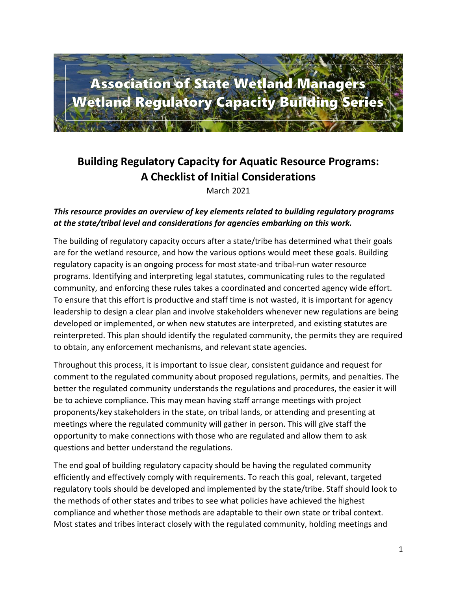

# **Building Regulatory Capacity for Aquatic Resource Programs: A Checklist of Initial Considerations**

March 2021

# *This resource provides an overview of key elements related to building regulatory programs at the state/tribal level and considerations for agencies embarking on this work.*

The building of regulatory capacity occurs after a state/tribe has determined what their goals are for the wetland resource, and how the various options would meet these goals. Building regulatory capacity is an ongoing process for most state-and tribal-run water resource programs. Identifying and interpreting legal statutes, communicating rules to the regulated community, and enforcing these rules takes a coordinated and concerted agency wide effort. To ensure that this effort is productive and staff time is not wasted, it is important for agency leadership to design a clear plan and involve stakeholders whenever new regulations are being developed or implemented, or when new statutes are interpreted, and existing statutes are reinterpreted. This plan should identify the regulated community, the permits they are required to obtain, any enforcement mechanisms, and relevant state agencies.

Throughout this process, it is important to issue clear, consistent guidance and request for comment to the regulated community about proposed regulations, permits, and penalties. The better the regulated community understands the regulations and procedures, the easier it will be to achieve compliance. This may mean having staff arrange meetings with project proponents/key stakeholders in the state, on tribal lands, or attending and presenting at meetings where the regulated community will gather in person. This will give staff the opportunity to make connections with those who are regulated and allow them to ask questions and better understand the regulations.

The end goal of building regulatory capacity should be having the regulated community efficiently and effectively comply with requirements. To reach this goal, relevant, targeted regulatory tools should be developed and implemented by the state/tribe. Staff should look to the methods of other states and tribes to see what policies have achieved the highest compliance and whether those methods are adaptable to their own state or tribal context. Most states and tribes interact closely with the regulated community, holding meetings and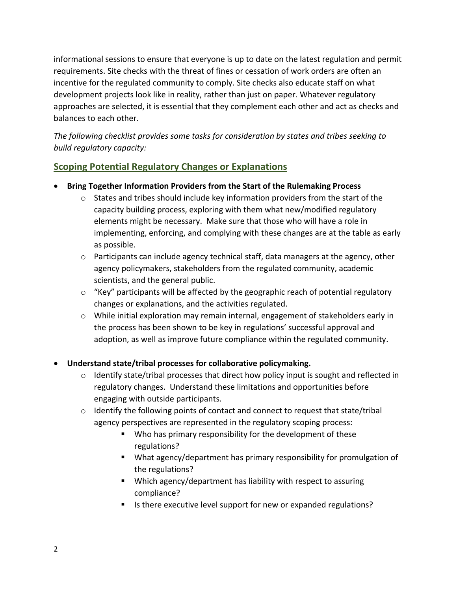informational sessions to ensure that everyone is up to date on the latest regulation and permit requirements. Site checks with the threat of fines or cessation of work orders are often an incentive for the regulated community to comply. Site checks also educate staff on what development projects look like in reality, rather than just on paper. Whatever regulatory approaches are selected, it is essential that they complement each other and act as checks and balances to each other.

*The following checklist provides some tasks for consideration by states and tribes seeking to build regulatory capacity:*

# **Scoping Potential Regulatory Changes or Explanations**

- **Bring Together Information Providers from the Start of the Rulemaking Process**
	- $\circ$  States and tribes should include key information providers from the start of the capacity building process, exploring with them what new/modified regulatory elements might be necessary. Make sure that those who will have a role in implementing, enforcing, and complying with these changes are at the table as early as possible.
	- $\circ$  Participants can include agency technical staff, data managers at the agency, other agency policymakers, stakeholders from the regulated community, academic scientists, and the general public.
	- $\circ$  "Key" participants will be affected by the geographic reach of potential regulatory changes or explanations, and the activities regulated.
	- o While initial exploration may remain internal, engagement of stakeholders early in the process has been shown to be key in regulations' successful approval and adoption, as well as improve future compliance within the regulated community.

# • **Understand state/tribal processes for collaborative policymaking.**

- $\circ$  Identify state/tribal processes that direct how policy input is sought and reflected in regulatory changes. Understand these limitations and opportunities before engaging with outside participants.
- $\circ$  Identify the following points of contact and connect to request that state/tribal agency perspectives are represented in the regulatory scoping process:
	- Who has primary responsibility for the development of these regulations?
	- What agency/department has primary responsibility for promulgation of the regulations?
	- Which agency/department has liability with respect to assuring compliance?
	- Is there executive level support for new or expanded regulations?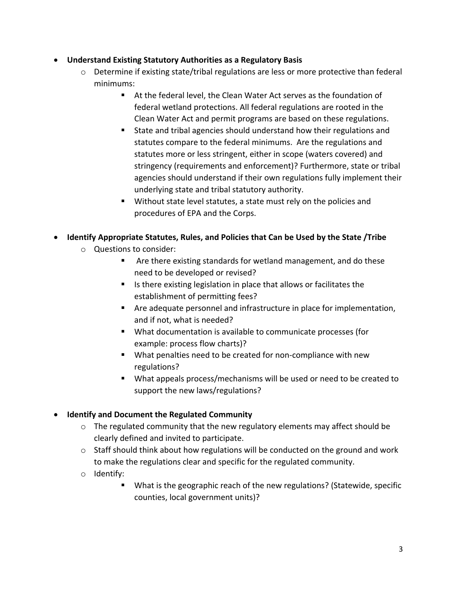## • **Understand Existing Statutory Authorities as a Regulatory Basis**

- $\circ$  Determine if existing state/tribal regulations are less or more protective than federal minimums:
	- At the federal level, the Clean Water Act serves as the foundation of federal wetland protections. All federal regulations are rooted in the Clean Water Act and permit programs are based on these regulations.
	- State and tribal agencies should understand how their regulations and statutes compare to the federal minimums. Are the regulations and statutes more or less stringent, either in scope (waters covered) and stringency (requirements and enforcement)? Furthermore, state or tribal agencies should understand if their own regulations fully implement their underlying state and tribal statutory authority.
	- Without state level statutes, a state must rely on the policies and procedures of EPA and the Corps.

# • **Identify Appropriate Statutes, Rules, and Policies that Can be Used by the State /Tribe**

- o Questions to consider:
	- Are there existing standards for wetland management, and do these need to be developed or revised?
	- Is there existing legislation in place that allows or facilitates the establishment of permitting fees?
	- Are adequate personnel and infrastructure in place for implementation, and if not, what is needed?
	- What documentation is available to communicate processes (for example: process flow charts)?
	- What penalties need to be created for non-compliance with new regulations?
	- What appeals process/mechanisms will be used or need to be created to support the new laws/regulations?

# • **Identify and Document the Regulated Community**

- o The regulated community that the new regulatory elements may affect should be clearly defined and invited to participate.
- o Staff should think about how regulations will be conducted on the ground and work to make the regulations clear and specific for the regulated community.
- o Identify:
	- What is the geographic reach of the new regulations? (Statewide, specific counties, local government units)?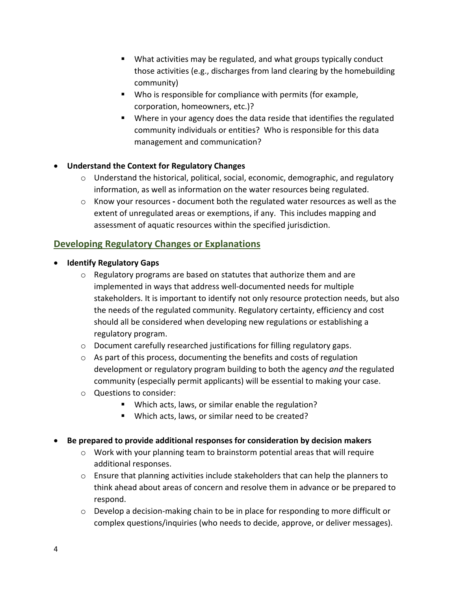- What activities may be regulated, and what groups typically conduct those activities (e.g., discharges from land clearing by the homebuilding community)
- Who is responsible for compliance with permits (for example, corporation, homeowners, etc.)?
- Where in your agency does the data reside that identifies the regulated community individuals or entities? Who is responsible for this data management and communication?

## • **Understand the Context for Regulatory Changes**

- $\circ$  Understand the historical, political, social, economic, demographic, and regulatory information, as well as information on the water resources being regulated.
- o Know your resources **-** document both the regulated water resources as well as the extent of unregulated areas or exemptions, if any. This includes mapping and assessment of aquatic resources within the specified jurisdiction.

# **Developing Regulatory Changes or Explanations**

- **Identify Regulatory Gaps** 
	- o Regulatory programs are based on statutes that authorize them and are implemented in ways that address well-documented needs for multiple stakeholders. It is important to identify not only resource protection needs, but also the needs of the regulated community. Regulatory certainty, efficiency and cost should all be considered when developing new regulations or establishing a regulatory program.
	- o Document carefully researched justifications for filling regulatory gaps.
	- o As part of this process, documenting the benefits and costs of regulation development or regulatory program building to both the agency *and* the regulated community (especially permit applicants) will be essential to making your case.
	- o Questions to consider:
		- Which acts, laws, or similar enable the regulation?
		- Which acts, laws, or similar need to be created?
- **Be prepared to provide additional responses for consideration by decision makers**
	- $\circ$  Work with your planning team to brainstorm potential areas that will require additional responses.
	- o Ensure that planning activities include stakeholders that can help the planners to think ahead about areas of concern and resolve them in advance or be prepared to respond.
	- o Develop a decision-making chain to be in place for responding to more difficult or complex questions/inquiries (who needs to decide, approve, or deliver messages).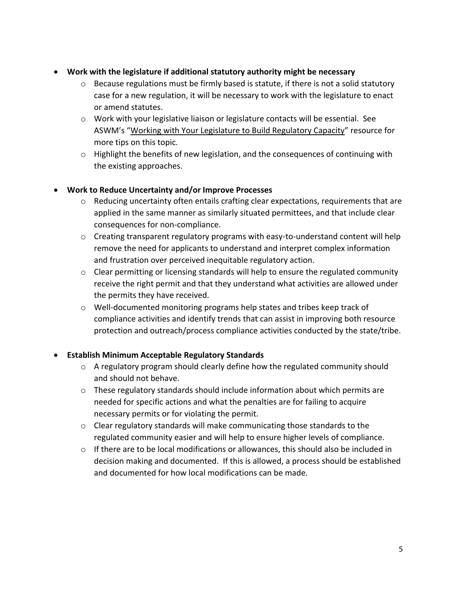- **Work with the legislature if additional statutory authority might be necessary**
	- $\circ$  Because regulations must be firmly based is statute, if there is not a solid statutory case for a new regulation, it will be necessary to work with the legislature to enact or amend statutes.
	- o Work with your legislative liaison or legislature contacts will be essential. See ASWM's "Working with Your Legislature to Build Regulatory Capacity" resource for more tips on this topic.
	- o Highlight the benefits of new legislation, and the consequences of continuing with the existing approaches.

## • **Work to Reduce Uncertainty and/or Improve Processes**

- o Reducing uncertainty often entails crafting clear expectations, requirements that are applied in the same manner as similarly situated permittees, and that include clear consequences for non-compliance.
- $\circ$  Creating transparent regulatory programs with easy-to-understand content will help remove the need for applicants to understand and interpret complex information and frustration over perceived inequitable regulatory action.
- $\circ$  Clear permitting or licensing standards will help to ensure the regulated community receive the right permit and that they understand what activities are allowed under the permits they have received.
- o Well-documented monitoring programs help states and tribes keep track of compliance activities and identify trends that can assist in improving both resource protection and outreach/process compliance activities conducted by the state/tribe.

# • **Establish Minimum Acceptable Regulatory Standards**

- $\circ$  A regulatory program should clearly define how the regulated community should and should not behave.
- o These regulatory standards should include information about which permits are needed for specific actions and what the penalties are for failing to acquire necessary permits or for violating the permit.
- o Clear regulatory standards will make communicating those standards to the regulated community easier and will help to ensure higher levels of compliance.
- o If there are to be local modifications or allowances, this should also be included in decision making and documented. If this is allowed, a process should be established and documented for how local modifications can be made.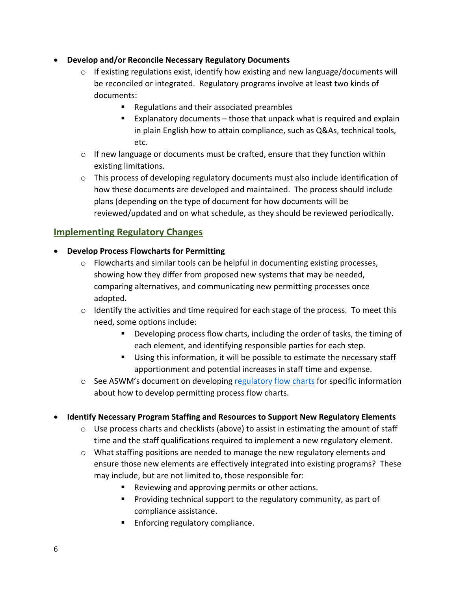## • **Develop and/or Reconcile Necessary Regulatory Documents**

- $\circ$  If existing regulations exist, identify how existing and new language/documents will be reconciled or integrated. Regulatory programs involve at least two kinds of documents:
	- Regulations and their associated preambles
	- Explanatory documents  $-$  those that unpack what is required and explain in plain English how to attain compliance, such as Q&As, technical tools, etc.
- o If new language or documents must be crafted, ensure that they function within existing limitations.
- $\circ$  This process of developing regulatory documents must also include identification of how these documents are developed and maintained. The process should include plans (depending on the type of document for how documents will be reviewed/updated and on what schedule, as they should be reviewed periodically.

# **Implementing Regulatory Changes**

## • **Develop Process Flowcharts for Permitting**

- $\circ$  Flowcharts and similar tools can be helpful in documenting existing processes, showing how they differ from proposed new systems that may be needed, comparing alternatives, and communicating new permitting processes once adopted.
- o Identify the activities and time required for each stage of the process. To meet this need, some options include:
	- Developing process flow charts, including the order of tasks, the timing of each element, and identifying responsible parties for each step.
	- Using this information, it will be possible to estimate the necessary staff apportionment and potential increases in staff time and expense.
- o See ASWM's document on developing [regulatory flow charts](https://www.aswm.org/pdf_lib/pipeline/aswm_developing_process_maps.pdf) for specific information about how to develop permitting process flow charts.
- **Identify Necessary Program Staffing and Resources to Support New Regulatory Elements**
	- $\circ$  Use process charts and checklists (above) to assist in estimating the amount of staff time and the staff qualifications required to implement a new regulatory element.
	- $\circ$  What staffing positions are needed to manage the new regulatory elements and ensure those new elements are effectively integrated into existing programs? These may include, but are not limited to, those responsible for:
		- Reviewing and approving permits or other actions.
		- Providing technical support to the regulatory community, as part of compliance assistance.
		- Enforcing regulatory compliance.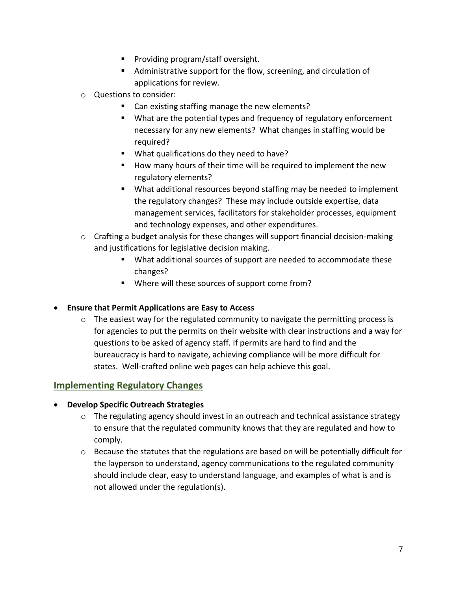- Providing program/staff oversight.
- Administrative support for the flow, screening, and circulation of applications for review.
- o Questions to consider:
	- Can existing staffing manage the new elements?
	- What are the potential types and frequency of regulatory enforcement necessary for any new elements? What changes in staffing would be required?
	- What qualifications do they need to have?
	- How many hours of their time will be required to implement the new regulatory elements?
	- What additional resources beyond staffing may be needed to implement the regulatory changes? These may include outside expertise, data management services, facilitators for stakeholder processes, equipment and technology expenses, and other expenditures.
- $\circ$  Crafting a budget analysis for these changes will support financial decision-making and justifications for legislative decision making.
	- What additional sources of support are needed to accommodate these changes?
	- Where will these sources of support come from?

## • **Ensure that Permit Applications are Easy to Access**

o The easiest way for the regulated community to navigate the permitting process is for agencies to put the permits on their website with clear instructions and a way for questions to be asked of agency staff. If permits are hard to find and the bureaucracy is hard to navigate, achieving compliance will be more difficult for states. Well-crafted online web pages can help achieve this goal.

# **Implementing Regulatory Changes**

## • **Develop Specific Outreach Strategies**

- o The regulating agency should invest in an outreach and technical assistance strategy to ensure that the regulated community knows that they are regulated and how to comply.
- o Because the statutes that the regulations are based on will be potentially difficult for the layperson to understand, agency communications to the regulated community should include clear, easy to understand language, and examples of what is and is not allowed under the regulation(s).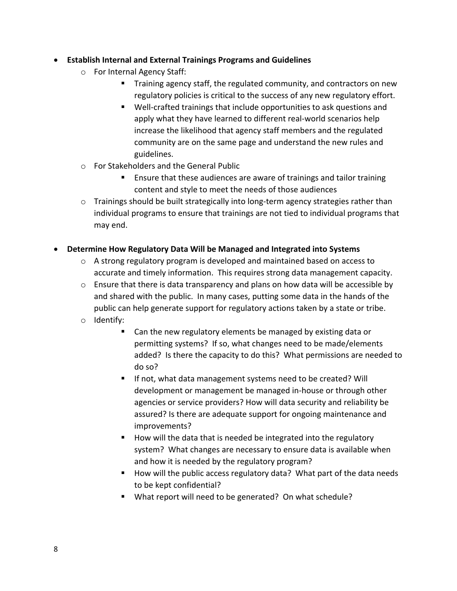## • **Establish Internal and External Trainings Programs and Guidelines**

- o For Internal Agency Staff:
	- Training agency staff, the regulated community, and contractors on new regulatory policies is critical to the success of any new regulatory effort.
	- Well-crafted trainings that include opportunities to ask questions and apply what they have learned to different real-world scenarios help increase the likelihood that agency staff members and the regulated community are on the same page and understand the new rules and guidelines.
- o For Stakeholders and the General Public
	- Ensure that these audiences are aware of trainings and tailor training content and style to meet the needs of those audiences
- $\circ$  Trainings should be built strategically into long-term agency strategies rather than individual programs to ensure that trainings are not tied to individual programs that may end.

## • **Determine How Regulatory Data Will be Managed and Integrated into Systems**

- o A strong regulatory program is developed and maintained based on access to accurate and timely information. This requires strong data management capacity.
- o Ensure that there is data transparency and plans on how data will be accessible by and shared with the public. In many cases, putting some data in the hands of the public can help generate support for regulatory actions taken by a state or tribe.
- o Identify:
	- Can the new regulatory elements be managed by existing data or permitting systems? If so, what changes need to be made/elements added? Is there the capacity to do this? What permissions are needed to do so?
	- **E** If not, what data management systems need to be created? Will development or management be managed in-house or through other agencies or service providers? How will data security and reliability be assured? Is there are adequate support for ongoing maintenance and improvements?
	- How will the data that is needed be integrated into the regulatory system? What changes are necessary to ensure data is available when and how it is needed by the regulatory program?
	- How will the public access regulatory data? What part of the data needs to be kept confidential?
	- What report will need to be generated? On what schedule?